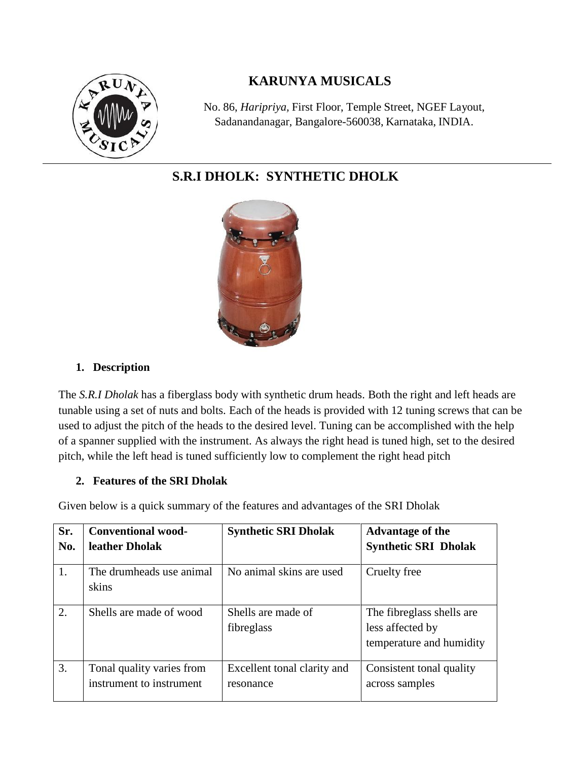

## **KARUNYA MUSICALS**

No. 86, *Haripriya,* First Floor, Temple Street, NGEF Layout, Sadanandanagar, Bangalore-560038, Karnataka, INDIA.

# **S.R.I DHOLK: SYNTHETIC DHOLK**



#### **1. Description**

The *S.R.I Dholak* has a fiberglass body with synthetic drum heads. Both the right and left heads are tunable using a set of nuts and bolts. Each of the heads is provided with 12 tuning screws that can be used to adjust the pitch of the heads to the desired level. Tuning can be accomplished with the help of a spanner supplied with the instrument. As always the right head is tuned high, set to the desired pitch, while the left head is tuned sufficiently low to complement the right head pitch

#### **2. Features of the SRI Dholak**

Given below is a quick summary of the features and advantages of the SRI Dholak

| Sr. | <b>Conventional wood-</b>         | <b>Synthetic SRI Dholak</b>      | Advantage of the                                                          |
|-----|-----------------------------------|----------------------------------|---------------------------------------------------------------------------|
| No. | leather Dholak                    |                                  | <b>Synthetic SRI Dholak</b>                                               |
| 1.  | The drumheads use animal<br>skins | No animal skins are used         | Cruelty free                                                              |
| 2.  | Shells are made of wood           | Shells are made of<br>fibreglass | The fibreglass shells are<br>less affected by<br>temperature and humidity |
| 3.  | Tonal quality varies from         | Excellent tonal clarity and      | Consistent tonal quality                                                  |
|     | instrument to instrument          | resonance                        | across samples                                                            |